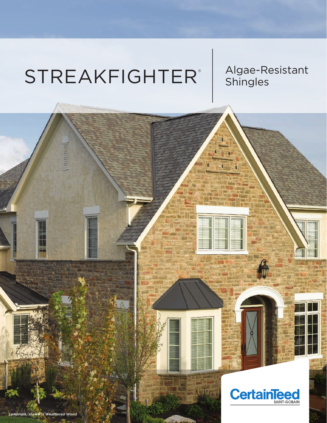# STREAKFIGHTER<sup>®</sup> | Algae-Resistant ®

пиниц

*Landmark, shown in Weathered Wood*



**Linkin**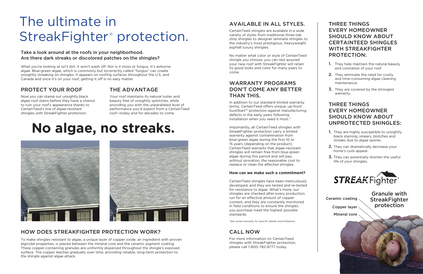# **No algae, no streaks.**



## PROTECT YOUR ROOF

Now you can stamp out unsightly black algae roof stains before they have a chance to ruin your roof's appearance thanks to CertainTeed's line of algae-resistant shingles with StreakFighter protection.

#### Take a look around at the roofs in your neighborhood. Are there dark streaks or discolored patches on the shingles?

What you're looking at isn't dirt. It won't wash off. Nor is it moss or fungus. It's airborne algae. Blue-green algae, which is commonly but incorrectly called "fungus" can create unsightly streaking on shingles. It appears on roofing surfaces throughout the U.S. and Canada and once it's on your roof, getting it off is no easy matter.

# THE ADVANTAGE

Your roof maintains its natural luster and beauty free of unsightly splotches, while providing you with the unparalleled level of performance you'd expect from a CertainTeed roof—today and for decades to come.

# AVAILABLE IN ALL STYLES.

CertainTeed shingles are available in a wide variety of styles from traditional three-tab strip shingles to designer laminate shingles to the industry's most prestigious, heavyweight asphalt luxury shingles.

No matter what color or style of CertainTeed shingle you choose, you can rest assured your new roof with StreakFighter will retain its good looks and color for many years to come.

## WARRANTY PROGRAMS DON'T COME ANY BETTER THAN THIS.

- **1.** They help maintain the natural beauty and coloration of your roof.
- 2. They eliminate the need for costly and time-consuming algae cleaning maintenance.
- 3. They are covered by the strongest warranty.

In addition to our standard limited warranty terms, CertainTeed offers unique, up-front SureStart™ protection against manufacturing defects in the early years following installation when you need it most.\*

- 1. They are highly susceptible to unsightly black staining, smears, blotches and streaks due to algae spores.
- 2. They can dramatically decrease your home's curb appeal.
- **3.** They can potentially shorten the useful life of your shingles.



Importantly, all CertainTeed shingles with StreakFighter protection carry a limited warranty against contamination from blue-green algae during the first 10 or 15 years (depending on the product). CertainTeed warrants that algae-resistant shingles will remain free from blue-green algae during this period and will pay, without proration, the reasonable cost to replace or clean the affected shingles.

# The ultimate in StreakFighter<sup>®</sup> protection.

#### **How can we make such a commitment?**

CertainTeed shingles have been meticulously developed, and they are tested and re-tested for resistance to algae. What's more, our shingles are checked after every production run for an effective amount of copper content, and they are constantly monitored in field conditions to ensure the shingles you purchase meet the highest possible standards.

*\*See actual warranty for specific details and limitations.*

### CALL NOW

For more information on CertainTeed shingles with StreakFighter protection, please call 1-800-782-8777 today.

### THREE THINGS EVERY HOMEOWNER SHOULD KNOW ABOUT CERTAINTEED SHINGLES WITH STREAKFIGHTER PROTECTION:

## THREE THINGS EVERY HOMEOWNER SHOULD KNOW ABOUT UNPROTECTED SHINGLES:

To make shingles resistant to algae, a unique layer of copper oxide, an ingredient with proven algicidal properties, is placed between the mineral core and the ceramic pigment coating. These copper-containing granules are uniformly dispersed throughout the shingle's exposed surface. The copper leaches gradually over time, providing reliable, long-term protection to the shingle against algae attack.

# HOW DOES STREAKFIGHTER PROTECTION WORK?

Ceramic coating Copper layer Mineral core

Granule with **StreakFighter** protection